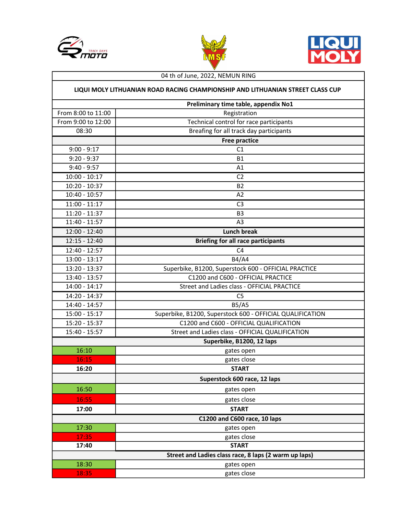





## 04 th of June, 2022, NEMUN RING

## LIQUI MOLY LITHUANIAN ROAD RACING CHAMPIONSHIP AND LITHUANIAN STREET CLASS CUP

|                                                       | Preliminary time table, appendix No1                      |
|-------------------------------------------------------|-----------------------------------------------------------|
| From 8:00 to 11:00                                    | Registration                                              |
| From 9:00 to 12:00                                    | Technical control for race participants                   |
| 08:30                                                 | Breafing for all track day participants                   |
|                                                       | <b>Free practice</b>                                      |
| $9:00 - 9:17$                                         | C1                                                        |
| $9:20 - 9:37$                                         | <b>B1</b>                                                 |
| $9:40 - 9:57$                                         | A1                                                        |
| $10:00 - 10:17$                                       | C <sub>2</sub>                                            |
| 10:20 - 10:37                                         | <b>B2</b>                                                 |
| $10:40 - 10:57$                                       | A2                                                        |
| $11:00 - 11:17$                                       | C <sub>3</sub>                                            |
| $11:20 - 11:37$                                       | B <sub>3</sub>                                            |
| $11:40 - 11:57$                                       | A3                                                        |
| $12:00 - 12:40$                                       | <b>Lunch break</b>                                        |
| $12:15 - 12:40$                                       | <b>Briefing for all race participants</b>                 |
| 12:40 - 12:57                                         | C <sub>4</sub>                                            |
| $13:00 - 13:17$                                       | <b>B4/A4</b>                                              |
| 13:20 - 13:37                                         | Superbike, B1200, Superstock 600 - OFFICIAL PRACTICE      |
| 13:40 - 13:57                                         | C1200 and C600 - OFFICIAL PRACTICE                        |
| $14:00 - 14:17$                                       | Street and Ladies class - OFFICIAL PRACTICE               |
| 14:20 - 14:37                                         | C <sub>5</sub>                                            |
| 14:40 - 14:57                                         | <b>B5/A5</b>                                              |
| 15:00 - 15:17                                         | Superbike, B1200, Superstock 600 - OFFICIAL QUALIFICATION |
| 15:20 - 15:37                                         | C1200 and C600 - OFFICIAL QUALIFICATION                   |
| 15:40 - 15:57                                         | Street and Ladies class - OFFICIAL QUALIFICATION          |
| Superbike, B1200, 12 laps                             |                                                           |
| 16:10                                                 | gates open                                                |
| 16:15                                                 | gates close                                               |
| 16:20                                                 | <b>START</b>                                              |
|                                                       | Superstock 600 race, 12 laps                              |
| 16:50                                                 | gates open                                                |
| 16:55                                                 | gates close                                               |
| 17:00                                                 | <b>START</b>                                              |
| C1200 and C600 race, 10 laps                          |                                                           |
| 17:30                                                 | gates open                                                |
| 17:35                                                 | gates close                                               |
| 17:40                                                 | <b>START</b>                                              |
| Street and Ladies class race, 8 laps (2 warm up laps) |                                                           |
| 18:30                                                 | gates open                                                |
| 18:35                                                 | gates close                                               |
|                                                       |                                                           |